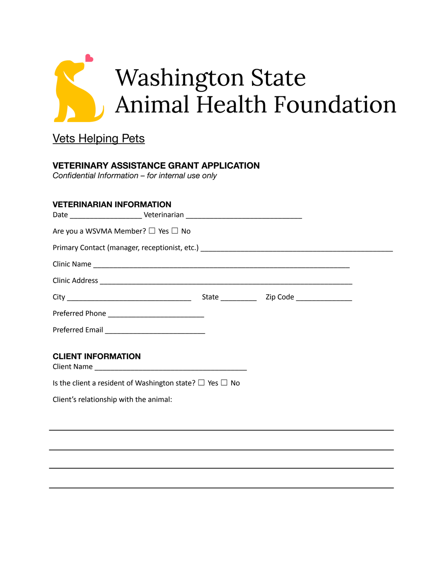

# Vets Helping Pets

## **VETERINARY ASSISTANCE GRANT APPLICATION**

*Confidential Information – for internal use only*

### **VETERINARIAN INFORMATION**

| Are you a WSVMA Member? □ Yes □ No |  |  |
|------------------------------------|--|--|
|                                    |  |  |
|                                    |  |  |
|                                    |  |  |
|                                    |  |  |
|                                    |  |  |
|                                    |  |  |
|                                    |  |  |
| <b>CLIENT INFORMATION</b>          |  |  |
|                                    |  |  |

Is the client a resident of Washington state?  $\Box$  Yes  $\Box$  No

Client's relationship with the animal: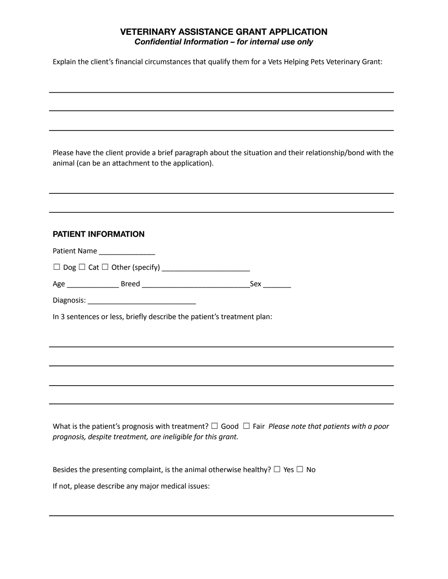### **VETERINARY ASSISTANCE GRANT APPLICATION** *Confidential Information – for internal use only*

Explain the client's financial circumstances that qualify them for a Vets Helping Pets Veterinary Grant:

Please have the client provide a brief paragraph about the situation and their relationship/bond with the animal (can be an attachment to the application).

| <b>PATIENT INFORMATION</b>                                                                                                                                                           |  |  |  |  |
|--------------------------------------------------------------------------------------------------------------------------------------------------------------------------------------|--|--|--|--|
| Patient Name                                                                                                                                                                         |  |  |  |  |
|                                                                                                                                                                                      |  |  |  |  |
|                                                                                                                                                                                      |  |  |  |  |
|                                                                                                                                                                                      |  |  |  |  |
| In 3 sentences or less, briefly describe the patient's treatment plan:                                                                                                               |  |  |  |  |
|                                                                                                                                                                                      |  |  |  |  |
|                                                                                                                                                                                      |  |  |  |  |
|                                                                                                                                                                                      |  |  |  |  |
|                                                                                                                                                                                      |  |  |  |  |
|                                                                                                                                                                                      |  |  |  |  |
|                                                                                                                                                                                      |  |  |  |  |
| What is the patient's prognosis with treatment? $\Box$ Good $\Box$ Fair <i>Please note that patients with a poor</i><br>prognosis, despite treatment, are ineligible for this grant. |  |  |  |  |
|                                                                                                                                                                                      |  |  |  |  |
| Besides the presenting complaint, is the animal otherwise healthy? $\Box$ Yes $\Box$ No                                                                                              |  |  |  |  |
| If not, please describe any major medical issues:                                                                                                                                    |  |  |  |  |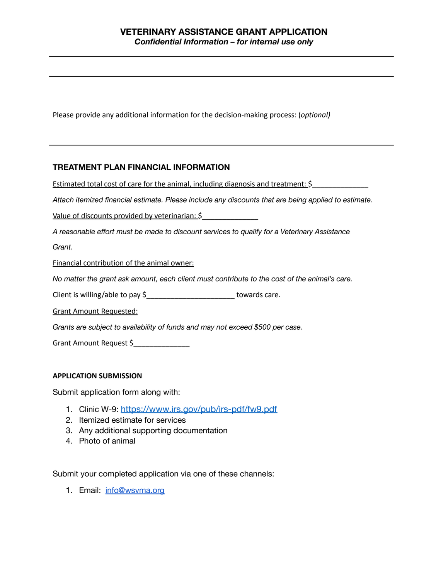Please provide any additional information for the decision-making process: (*optional)*

#### **TREATMENT PLAN FINANCIAL INFORMATION**

Estimated total cost of care for the animal, including diagnosis and treatment: \$

*Attach itemized financial estimate. Please include any discounts that are being applied to estimate.*

Value of discounts provided by veterinarian: \$

*A reasonable effort must be made to discount services to qualify for a Veterinary Assistance*

*Grant.*

Financial contribution of the animal owner:

*No matter the grant ask amount, each client must contribute to the cost of the animal's care.*

Client is willing/able to pay \$\_\_\_\_\_\_\_\_\_\_\_\_\_\_\_\_\_\_\_\_\_\_\_\_\_\_\_\_ towards care.

Grant Amount Requested:

*Grants are subject to availability of funds and may not exceed \$500 per case.*

Grant Amount Request \$

#### **APPLICATION SUBMISSION**

Submit application form along with:

- 1. Clinic W-9: <https://www.irs.gov/pub/irs-pdf/fw9.pdf>
- 2. Itemized estimate for services
- 3. Any additional supporting documentation
- 4. Photo of animal

Submit your completed application via one of these channels:

1. Email: [info@wsvma.org](mailto:info@wsvma.org)